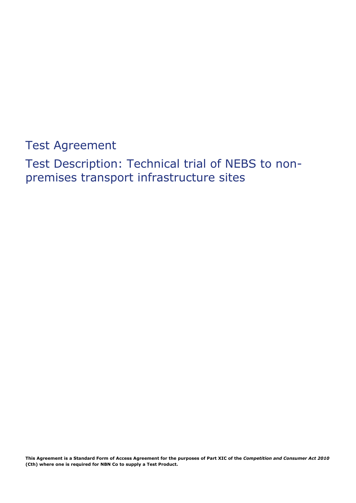Test Agreement

Test Description: Technical trial of NEBS to nonpremises transport infrastructure sites

**This Agreement is a Standard Form of Access Agreement for the purposes of Part XIC of the** *Competition and Consumer Act 2010*  **(Cth) where one is required for NBN Co to supply a Test Product.**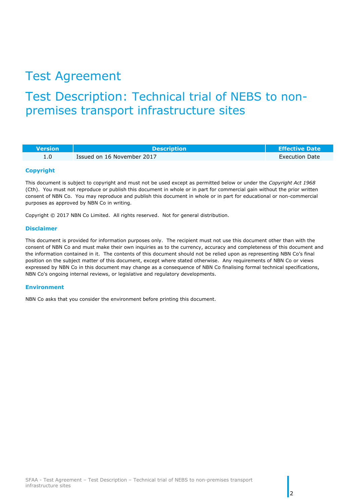# Test Agreement

# Test Description: Technical trial of NEBS to nonpremises transport infrastructure sites

| <b>Wersion</b> | <b>Description</b>         | <b>Effective Date</b> |
|----------------|----------------------------|-----------------------|
|                | Issued on 16 November 2017 | <b>Execution Date</b> |

#### **Copyright**

This document is subject to copyright and must not be used except as permitted below or under the *Copyright Act 1968* (Cth). You must not reproduce or publish this document in whole or in part for commercial gain without the prior written consent of NBN Co. You may reproduce and publish this document in whole or in part for educational or non-commercial purposes as approved by NBN Co in writing.

Copyright © 2017 NBN Co Limited. All rights reserved. Not for general distribution.

#### **Disclaimer**

This document is provided for information purposes only. The recipient must not use this document other than with the consent of NBN Co and must make their own inquiries as to the currency, accuracy and completeness of this document and the information contained in it. The contents of this document should not be relied upon as representing NBN Co's final position on the subject matter of this document, except where stated otherwise. Any requirements of NBN Co or views expressed by NBN Co in this document may change as a consequence of NBN Co finalising formal technical specifications, NBN Co's ongoing internal reviews, or legislative and regulatory developments.

#### **Environment**

NBN Co asks that you consider the environment before printing this document.

2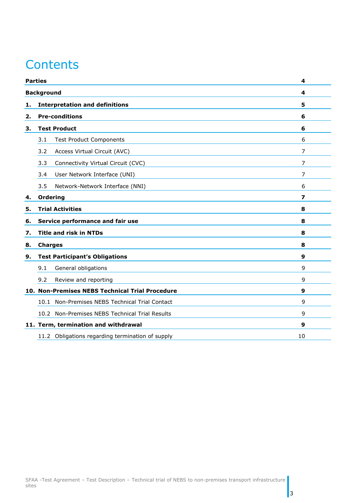# **Contents**

|                   | <b>Parties</b>                                   | $\overline{4}$          |  |
|-------------------|--------------------------------------------------|-------------------------|--|
| <b>Background</b> |                                                  | 4                       |  |
| 1.                | <b>Interpretation and definitions</b>            |                         |  |
| 2.                | <b>Pre-conditions</b>                            | 6                       |  |
| 3.                | <b>Test Product</b>                              | 6                       |  |
|                   | <b>Test Product Components</b><br>3.1            | 6                       |  |
|                   | Access Virtual Circuit (AVC)<br>3.2              | 7                       |  |
|                   | 3.3<br>Connectivity Virtual Circuit (CVC)        | 7                       |  |
|                   | User Network Interface (UNI)<br>3.4              | $\overline{7}$          |  |
|                   | Network-Network Interface (NNI)<br>3.5           | 6                       |  |
| 4.                | <b>Ordering</b>                                  | $\overline{\mathbf{z}}$ |  |
| 5.                | <b>Trial Activities</b>                          | 8                       |  |
| 6.                | Service performance and fair use                 | 8                       |  |
| 7.                | <b>Title and risk in NTDs</b>                    | 8                       |  |
| 8.                | <b>Charges</b>                                   | 8                       |  |
| 9.                | <b>Test Participant's Obligations</b>            | 9                       |  |
|                   | 9.1<br>General obligations                       | 9                       |  |
|                   | 9.2<br>Review and reporting                      | 9                       |  |
|                   | 10. Non-Premises NEBS Technical Trial Procedure  | 9                       |  |
|                   | 10.1 Non-Premises NEBS Technical Trial Contact   | 9                       |  |
|                   | 10.2 Non-Premises NEBS Technical Trial Results   | 9                       |  |
|                   | 11. Term, termination and withdrawal             | 9                       |  |
|                   | 11.2 Obligations regarding termination of supply | 10                      |  |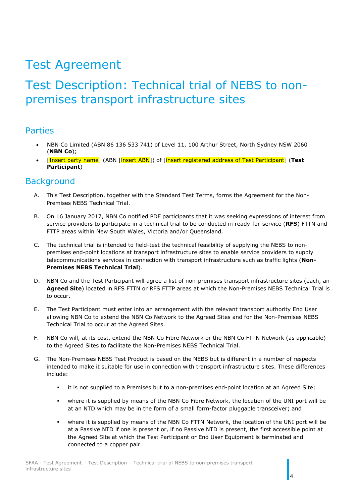# Test Agreement

# Test Description: Technical trial of NEBS to nonpremises transport infrastructure sites

#### <span id="page-3-0"></span>Parties

- NBN Co Limited (ABN 86 136 533 741) of Level 11, 100 Arthur Street, North Sydney NSW 2060 (**NBN Co**);
- [Insert party name] (ABN [insert ABN]) of [insert registered address of Test Participant] (**Test Participant**)

#### <span id="page-3-1"></span>**Background**

- A. This Test Description, together with the Standard Test Terms, forms the Agreement for the Non-Premises NEBS Technical Trial.
- B. On 16 January 2017, NBN Co notified PDF participants that it was seeking expressions of interest from service providers to participate in a technical trial to be conducted in ready-for-service (**RFS**) FTTN and FTTP areas within New South Wales, Victoria and/or Queensland.
- C. The technical trial is intended to field-test the technical feasibility of supplying the NEBS to nonpremises end-point locations at transport infrastructure sites to enable service providers to supply telecommunications services in connection with transport infrastructure such as traffic lights (**Non-Premises NEBS Technical Trial**).
- D. NBN Co and the Test Participant will agree a list of non-premises transport infrastructure sites (each, an **Agreed Site**) located in RFS FTTN or RFS FTTP areas at which the Non-Premises NEBS Technical Trial is to occur.
- E. The Test Participant must enter into an arrangement with the relevant transport authority End User allowing NBN Co to extend the NBN Co Network to the Agreed Sites and for the Non-Premises NEBS Technical Trial to occur at the Agreed Sites.
- F. NBN Co will, at its cost, extend the NBN Co Fibre Network or the NBN Co FTTN Network (as applicable) to the Agreed Sites to facilitate the Non-Premises NEBS Technical Trial.
- G. The Non-Premises NEBS Test Product is based on the NEBS but is different in a number of respects intended to make it suitable for use in connection with transport infrastructure sites. These differences include:
	- it is not supplied to a Premises but to a non-premises end-point location at an Agreed Site;
	- where it is supplied by means of the NBN Co Fibre Network, the location of the UNI port will be at an NTD which may be in the form of a small form-factor pluggable transceiver; and
	- where it is supplied by means of the NBN Co FTTN Network, the location of the UNI port will be at a Passive NTD if one is present or, if no Passive NTD is present, the first accessible point at the Agreed Site at which the Test Participant or End User Equipment is terminated and connected to a copper pair.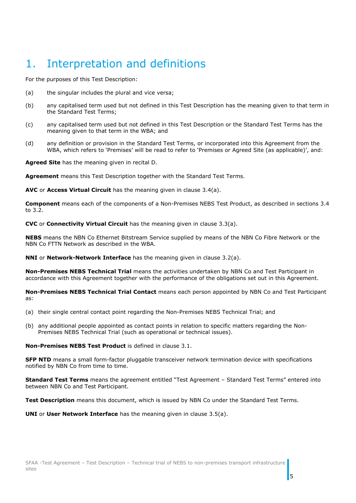# <span id="page-4-0"></span>1. Interpretation and definitions

For the purposes of this Test Description:

- (a) the singular includes the plural and vice versa;
- (b) any capitalised term used but not defined in this Test Description has the meaning given to that term in the Standard Test Terms;
- (c) any capitalised term used but not defined in this Test Description or the Standard Test Terms has the meaning given to that term in the WBA; and
- (d) any definition or provision in the Standard Test Terms, or incorporated into this Agreement from the WBA, which refers to 'Premises' will be read to refer to 'Premises or Agreed Site (as applicable)', and:

**Agreed Site** has the meaning given in recital D.

**Agreement** means this Test Description together with the Standard Test Terms.

**AVC** or **Access Virtual Circuit** has the meaning given in clause 3.4(a).

**Component** means each of the components of a Non-Premises NEBS Test Product, as described in sections [3.4](#page-6-0) to [3.2.](#page-5-3)

**CVC** or **Connectivity Virtual Circuit** has the meaning given in clause 3.3(a).

**NEBS** means the NBN Co Ethernet Bitstream Service supplied by means of the NBN Co Fibre Network or the NBN Co FTTN Network as described in the WBA.

**NNI** or **Network-Network Interface** has the meaning given in clause 3.2(a).

**Non-Premises NEBS Technical Trial** means the activities undertaken by NBN Co and Test Participant in accordance with this Agreement together with the performance of the obligations set out in this Agreement.

**Non-Premises NEBS Technical Trial Contact** means each person appointed by NBN Co and Test Participant as:

- (a) their single central contact point regarding the Non-Premises NEBS Technical Trial; and
- (b) any additional people appointed as contact points in relation to specific matters regarding the Non-Premises NEBS Technical Trial (such as operational or technical issues).

**Non-Premises NEBS Test Product** is defined in clause 3.1.

**SFP NTD** means a small form-factor pluggable transceiver network termination device with specifications notified by NBN Co from time to time.

**Standard Test Terms** means the agreement entitled "Test Agreement – Standard Test Terms" entered into between NBN Co and Test Participant.

**Test Description** means this document, which is issued by NBN Co under the Standard Test Terms.

**UNI** or **User Network Interface** has the meaning given in clause 3.5(a).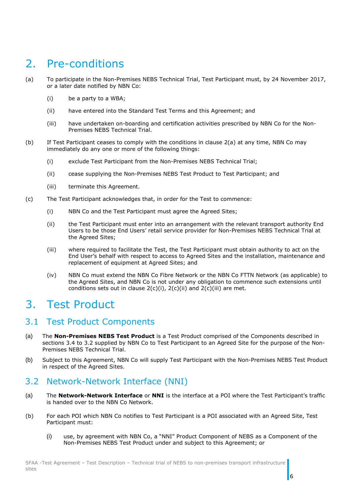## <span id="page-5-0"></span>2. Pre-conditions

- <span id="page-5-4"></span>(a) To participate in the Non-Premises NEBS Technical Trial, Test Participant must, by 24 November 2017, or a later date notified by NBN Co:
	- (i) be a party to a WBA;
	- (ii) have entered into the Standard Test Terms and this Agreement; and
	- (iii) have undertaken on-boarding and certification activities prescribed by NBN Co for the Non-Premises NEBS Technical Trial.
- (b) If Test Participant ceases to comply with the conditions in clause [2\(a\)](#page-5-4) at any time, NBN Co may immediately do any one or more of the following things:
	- (i) exclude Test Participant from the Non-Premises NEBS Technical Trial;
	- (ii) cease supplying the Non-Premises NEBS Test Product to Test Participant; and
	- (iii) terminate this Agreement.
- <span id="page-5-7"></span><span id="page-5-6"></span><span id="page-5-5"></span>(c) The Test Participant acknowledges that, in order for the Test to commence:
	- (i) NBN Co and the Test Participant must agree the Agreed Sites;
	- (ii) the Test Participant must enter into an arrangement with the relevant transport authority End Users to be those End Users' retail service provider for Non-Premises NEBS Technical Trial at the Agreed Sites;
	- (iii) where required to facilitate the Test, the Test Participant must obtain authority to act on the End User's behalf with respect to access to Agreed Sites and the installation, maintenance and replacement of equipment at Agreed Sites; and
	- (iv) NBN Co must extend the NBN Co Fibre Network or the NBN Co FTTN Network (as applicable) to the Agreed Sites, and NBN Co is not under any obligation to commence such extensions until conditions sets out in clause  $2(c)(i)$ ,  $2(c)(ii)$  and  $2(c)(iii)$  are met.

## <span id="page-5-1"></span>3. Test Product

#### <span id="page-5-2"></span>3.1 Test Product Components

- (a) The **Non-Premises NEBS Test Product** is a Test Product comprised of the Components described in sections [3.4](#page-6-0) to [3.2](#page-5-3) supplied by NBN Co to Test Participant to an Agreed Site for the purpose of the Non-Premises NEBS Technical Trial.
- (b) Subject to this Agreement, NBN Co will supply Test Participant with the Non-Premises NEBS Test Product in respect of the Agreed Sites.

#### <span id="page-5-3"></span>3.2 Network-Network Interface (NNI)

- (a) The **Network-Network Interface** or **NNI** is the interface at a POI where the Test Participant's traffic is handed over to the NBN Co Network.
- (b) For each POI which NBN Co notifies to Test Participant is a POI associated with an Agreed Site, Test Participant must:
	- (i) use, by agreement with NBN Co, a "NNI" Product Component of NEBS as a Component of the Non-Premises NEBS Test Product under and subject to this Agreement; or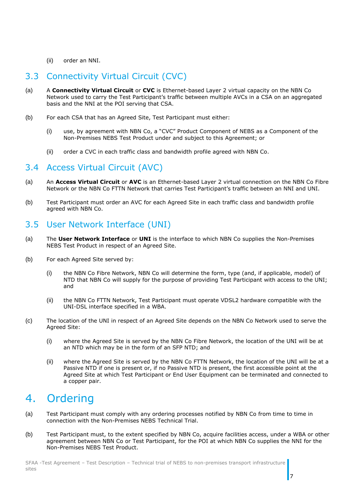#### (ii) order an NNI.

### <span id="page-6-1"></span>3.3 Connectivity Virtual Circuit (CVC)

- (a) A **Connectivity Virtual Circuit** or **CVC** is Ethernet-based Layer 2 virtual capacity on the NBN Co Network used to carry the Test Participant's traffic between multiple AVCs in a CSA on an aggregated basis and the NNI at the POI serving that CSA.
- (b) For each CSA that has an Agreed Site, Test Participant must either:
	- (i) use, by agreement with NBN Co, a "CVC" Product Component of NEBS as a Component of the Non-Premises NEBS Test Product under and subject to this Agreement; or
	- (ii) order a CVC in each traffic class and bandwidth profile agreed with NBN Co.

#### <span id="page-6-0"></span>3.4 Access Virtual Circuit (AVC)

- (a) An **Access Virtual Circuit** or **AVC** is an Ethernet-based Layer 2 virtual connection on the NBN Co Fibre Network or the NBN Co FTTN Network that carries Test Participant's traffic between an NNI and UNI.
- (b) Test Participant must order an AVC for each Agreed Site in each traffic class and bandwidth profile agreed with NBN Co.

#### <span id="page-6-2"></span>3.5 User Network Interface (UNI)

- (a) The **User Network Interface** or **UNI** is the interface to which NBN Co supplies the Non-Premises NEBS Test Product in respect of an Agreed Site.
- (b) For each Agreed Site served by:
	- (i) the NBN Co Fibre Network, NBN Co will determine the form, type (and, if applicable, model) of NTD that NBN Co will supply for the purpose of providing Test Participant with access to the UNI; and
	- (ii) the NBN Co FTTN Network, Test Participant must operate VDSL2 hardware compatible with the UNI-DSL interface specified in a WBA.
- (c) The location of the UNI in respect of an Agreed Site depends on the NBN Co Network used to serve the Agreed Site:
	- (i) where the Agreed Site is served by the NBN Co Fibre Network, the location of the UNI will be at an NTD which may be in the form of an SFP NTD; and
	- (ii) where the Agreed Site is served by the NBN Co FTTN Network, the location of the UNI will be at a Passive NTD if one is present or, if no Passive NTD is present, the first accessible point at the Agreed Site at which Test Participant or End User Equipment can be terminated and connected to a copper pair.

# <span id="page-6-3"></span>4. Ordering

- (a) Test Participant must comply with any ordering processes notified by NBN Co from time to time in connection with the Non-Premises NEBS Technical Trial.
- (b) Test Participant must, to the extent specified by NBN Co, acquire facilities access, under a WBA or other agreement between NBN Co or Test Participant, for the POI at which NBN Co supplies the NNI for the Non-Premises NEBS Test Product.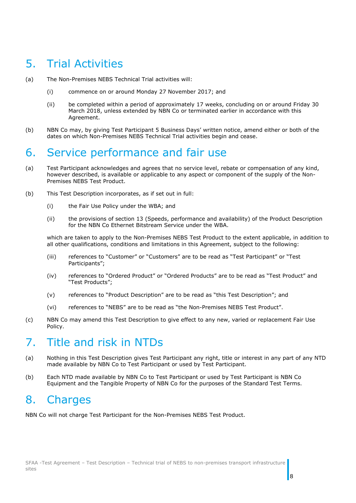## <span id="page-7-0"></span>5. Trial Activities

- (a) The Non-Premises NEBS Technical Trial activities will:
	- (i) commence on or around Monday 27 November 2017; and
	- (ii) be completed within a period of approximately 17 weeks, concluding on or around Friday 30 March 2018, unless extended by NBN Co or terminated earlier in accordance with this Agreement.
- (b) NBN Co may, by giving Test Participant 5 Business Days' written notice, amend either or both of the dates on which Non-Premises NEBS Technical Trial activities begin and cease.

## <span id="page-7-1"></span>6. Service performance and fair use

- (a) Test Participant acknowledges and agrees that no service level, rebate or compensation of any kind, however described, is available or applicable to any aspect or component of the supply of the Non-Premises NEBS Test Product.
- (b) This Test Description incorporates, as if set out in full:
	- (i) the Fair Use Policy under the WBA; and
	- (ii) the provisions of section 13 (Speeds, performance and availability) of the Product Description for the NBN Co Ethernet Bitstream Service under the WBA.

which are taken to apply to the Non-Premises NEBS Test Product to the extent applicable, in addition to all other qualifications, conditions and limitations in this Agreement, subject to the following:

- (iii) references to "Customer" or "Customers" are to be read as "Test Participant" or "Test Participants";
- (iv) references to "Ordered Product" or "Ordered Products" are to be read as "Test Product" and "Test Products";
- (v) references to "Product Description" are to be read as "this Test Description"; and
- (vi) references to "NEBS" are to be read as "the Non-Premises NEBS Test Product".
- (c) NBN Co may amend this Test Description to give effect to any new, varied or replacement Fair Use Policy.

# <span id="page-7-2"></span>7. Title and risk in NTDs

- (a) Nothing in this Test Description gives Test Participant any right, title or interest in any part of any NTD made available by NBN Co to Test Participant or used by Test Participant.
- (b) Each NTD made available by NBN Co to Test Participant or used by Test Participant is NBN Co Equipment and the Tangible Property of NBN Co for the purposes of the Standard Test Terms.

## <span id="page-7-3"></span>8. Charges

NBN Co will not charge Test Participant for the Non-Premises NEBS Test Product.

8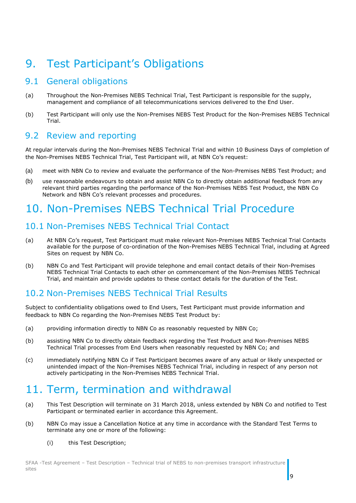# <span id="page-8-0"></span>9. Test Participant's Obligations

### <span id="page-8-1"></span>9.1 General obligations

- (a) Throughout the Non-Premises NEBS Technical Trial, Test Participant is responsible for the supply, management and compliance of all telecommunications services delivered to the End User.
- (b) Test Participant will only use the Non-Premises NEBS Test Product for the Non-Premises NEBS Technical Trial.

#### <span id="page-8-2"></span>9.2 Review and reporting

At regular intervals during the Non-Premises NEBS Technical Trial and within 10 Business Days of completion of the Non-Premises NEBS Technical Trial, Test Participant will, at NBN Co's request:

- (a) meet with NBN Co to review and evaluate the performance of the Non-Premises NEBS Test Product; and
- (b) use reasonable endeavours to obtain and assist NBN Co to directly obtain additional feedback from any relevant third parties regarding the performance of the Non-Premises NEBS Test Product, the NBN Co Network and NBN Co's relevant processes and procedures.

## <span id="page-8-3"></span>10. Non-Premises NEBS Technical Trial Procedure

### <span id="page-8-4"></span>10.1 Non-Premises NEBS Technical Trial Contact

- (a) At NBN Co's request, Test Participant must make relevant Non-Premises NEBS Technical Trial Contacts available for the purpose of co-ordination of the Non-Premises NEBS Technical Trial, including at Agreed Sites on request by NBN Co.
- (b) NBN Co and Test Participant will provide telephone and email contact details of their Non-Premises NEBS Technical Trial Contacts to each other on commencement of the Non-Premises NEBS Technical Trial, and maintain and provide updates to these contact details for the duration of the Test.

### <span id="page-8-5"></span>10.2 Non-Premises NEBS Technical Trial Results

Subject to confidentiality obligations owed to End Users, Test Participant must provide information and feedback to NBN Co regarding the Non-Premises NEBS Test Product by:

- (a) providing information directly to NBN Co as reasonably requested by NBN Co;
- (b) assisting NBN Co to directly obtain feedback regarding the Test Product and Non-Premises NEBS Technical Trial processes from End Users when reasonably requested by NBN Co; and
- (c) immediately notifying NBN Co if Test Participant becomes aware of any actual or likely unexpected or unintended impact of the Non-Premises NEBS Technical Trial, including in respect of any person not actively participating in the Non-Premises NEBS Technical Trial.

# <span id="page-8-6"></span>11. Term, termination and withdrawal

- (a) This Test Description will terminate on 31 March 2018, unless extended by NBN Co and notified to Test Participant or terminated earlier in accordance this Agreement.
- (b) NBN Co may issue a Cancellation Notice at any time in accordance with the Standard Test Terms to terminate any one or more of the following:
	- (i) this Test Description;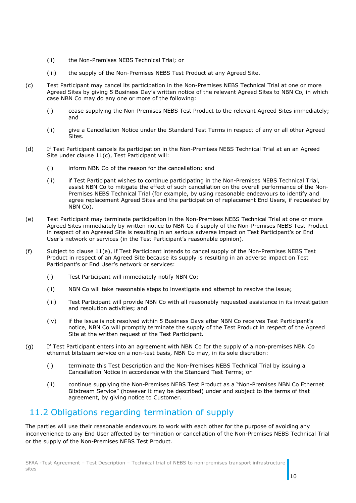- (ii) the Non-Premises NEBS Technical Trial; or
- (iii) the supply of the Non-Premises NEBS Test Product at any Agreed Site.
- <span id="page-9-1"></span>(c) Test Participant may cancel its participation in the Non-Premises NEBS Technical Trial at one or more Agreed Sites by giving 5 Business Day's written notice of the relevant Agreed Sites to NBN Co, in which case NBN Co may do any one or more of the following:
	- (i) cease supplying the Non-Premises NEBS Test Product to the relevant Agreed Sites immediately; and
	- (ii) give a Cancellation Notice under the Standard Test Terms in respect of any or all other Agreed Sites.
- (d) If Test Participant cancels its participation in the Non-Premises NEBS Technical Trial at an an Agreed Site under clause [11\(c\),](#page-9-1) Test Participant will:
	- (i) inform NBN Co of the reason for the cancellation; and
	- (ii) if Test Participant wishes to continue participating in the Non-Premises NEBS Technical Trial, assist NBN Co to mitigate the effect of such cancellation on the overall performance of the Non-Premises NEBS Technical Trial (for example, by using reasonable endeavours to identify and agree replacement Agreed Sites and the participation of replacement End Users, if requested by NBN Co).
- (e) Test Participant may terminate participation in the Non-Premises NEBS Technical Trial at one or more Agreed Sites immediately by written notice to NBN Co if supply of the Non-Premises NEBS Test Product in respect of an Agreeed Site is resulting in an serious adverse impact on Test Participant's or End User's network or services (in the Test Participant's reasonable opinion).
- (f) Subject to clause 11(e), if Test Participant intends to cancel supply of the Non-Premises NEBS Test Product in respect of an Agreed Site because its supply is resulting in an adverse impact on Test Participant's or End User's network or services:
	- (i) Test Participant will immediately notify NBN Co;
	- (ii) NBN Co will take reasonable steps to investigate and attempt to resolve the issue;
	- (iii) Test Participant will provide NBN Co with all reasonably requested assistance in its investigation and resolution activities; and
	- (iv) if the issue is not resolved within 5 Business Days after NBN Co receives Test Participant's notice, NBN Co will promptly terminate the supply of the Test Product in respect of the Agreed Site at the written request of the Test Participant.
- (g) If Test Participant enters into an agreement with NBN Co for the supply of a non-premises NBN Co ethernet bitsteam service on a non-test basis, NBN Co may, in its sole discretion:
	- (i) terminate this Test Description and the Non-Premises NEBS Technical Trial by issuing a Cancellation Notice in accordance with the Standard Test Terms; or
	- (ii) continue supplying the Non-Premises NEBS Test Product as a "Non-Premises NBN Co Ethernet Bitstream Service" (however it may be described) under and subject to the terms of that agreement, by giving notice to Customer.

### <span id="page-9-0"></span>11.2 Obligations regarding termination of supply

The parties will use their reasonable endeavours to work with each other for the purpose of avoiding any inconvenience to any End User affected by termination or cancellation of the Non-Premises NEBS Technical Trial or the supply of the Non-Premises NEBS Test Product.